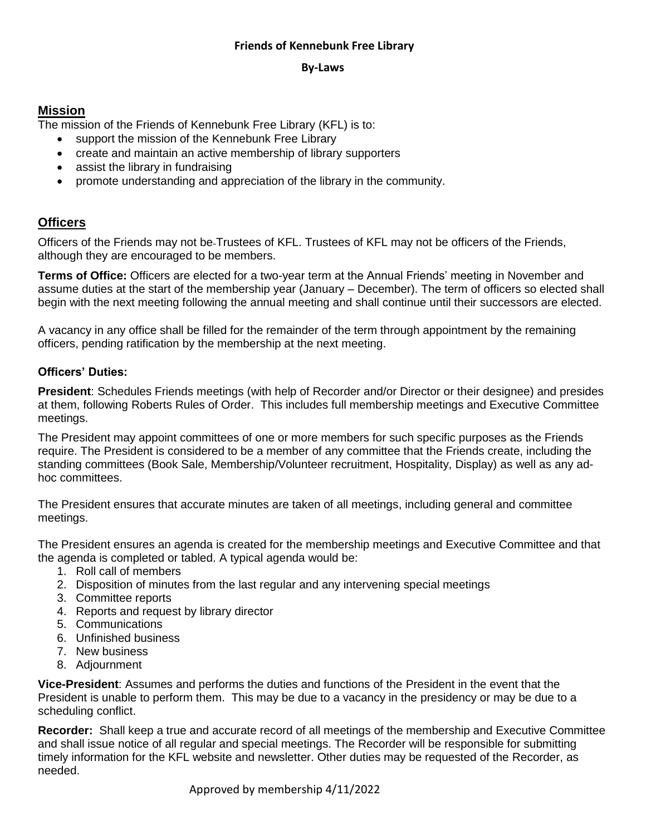## **Friends of Kennebunk Free Library**

#### **By-Laws**

## **Mission**

The mission of the Friends of Kennebunk Free Library (KFL) is to:

- support the mission of the Kennebunk Free Library
- create and maintain an active membership of library supporters
- assist the library in fundraising
- promote understanding and appreciation of the library in the community.

# **Officers**

Officers of the Friends may not be Trustees of KFL. Trustees of KFL may not be officers of the Friends, although they are encouraged to be members.

**Terms of Office:** Officers are elected for a two-year term at the Annual Friends' meeting in November and assume duties at the start of the membership year (January – December). The term of officers so elected shall begin with the next meeting following the annual meeting and shall continue until their successors are elected.

A vacancy in any office shall be filled for the remainder of the term through appointment by the remaining officers, pending ratification by the membership at the next meeting.

## **Officers' Duties:**

**President**: Schedules Friends meetings (with help of Recorder and/or Director or their designee) and presides at them, following Roberts Rules of Order. This includes full membership meetings and Executive Committee meetings.

The President may appoint committees of one or more members for such specific purposes as the Friends require. The President is considered to be a member of any committee that the Friends create, including the standing committees (Book Sale, Membership/Volunteer recruitment, Hospitality, Display) as well as any adhoc committees.

The President ensures that accurate minutes are taken of all meetings, including general and committee meetings.

The President ensures an agenda is created for the membership meetings and Executive Committee and that the agenda is completed or tabled. A typical agenda would be:

- 1. Roll call of members
- 2. Disposition of minutes from the last regular and any intervening special meetings
- 3. Committee reports
- 4. Reports and request by library director
- 5. Communications
- 6. Unfinished business
- 7. New business
- 8. Adjournment

**Vice-President**: Assumes and performs the duties and functions of the President in the event that the President is unable to perform them. This may be due to a vacancy in the presidency or may be due to a scheduling conflict.

**Recorder:** Shall keep a true and accurate record of all meetings of the membership and Executive Committee and shall issue notice of all regular and special meetings. The Recorder will be responsible for submitting timely information for the KFL website and newsletter. Other duties may be requested of the Recorder, as needed.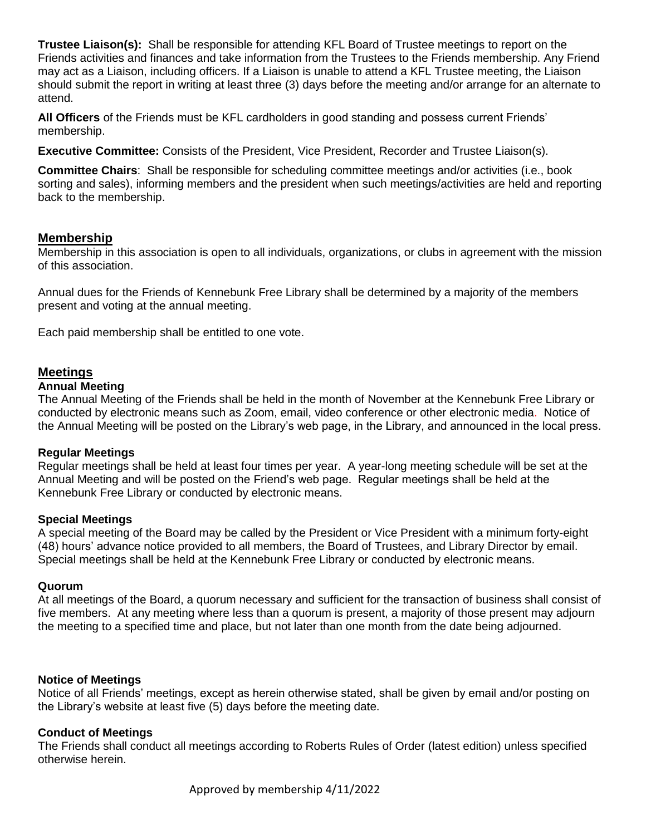**Trustee Liaison(s):** Shall be responsible for attending KFL Board of Trustee meetings to report on the Friends activities and finances and take information from the Trustees to the Friends membership. Any Friend may act as a Liaison, including officers. If a Liaison is unable to attend a KFL Trustee meeting, the Liaison should submit the report in writing at least three (3) days before the meeting and/or arrange for an alternate to attend.

**All Officers** of the Friends must be KFL cardholders in good standing and possess current Friends' membership.

**Executive Committee:** Consists of the President, Vice President, Recorder and Trustee Liaison(s).

**Committee Chairs**: Shall be responsible for scheduling committee meetings and/or activities (i.e., book sorting and sales), informing members and the president when such meetings/activities are held and reporting back to the membership.

## **Membership**

Membership in this association is open to all individuals, organizations, or clubs in agreement with the mission of this association.

Annual dues for the Friends of Kennebunk Free Library shall be determined by a majority of the members present and voting at the annual meeting.

Each paid membership shall be entitled to one vote.

### **Meetings**

#### **Annual Meeting**

The Annual Meeting of the Friends shall be held in the month of November at the Kennebunk Free Library or conducted by electronic means such as Zoom, email, video conference or other electronic media. Notice of the Annual Meeting will be posted on the Library's web page, in the Library, and announced in the local press.

#### **Regular Meetings**

Regular meetings shall be held at least four times per year. A year-long meeting schedule will be set at the Annual Meeting and will be posted on the Friend's web page. Regular meetings shall be held at the Kennebunk Free Library or conducted by electronic means.

#### **Special Meetings**

A special meeting of the Board may be called by the President or Vice President with a minimum forty-eight (48) hours' advance notice provided to all members, the Board of Trustees, and Library Director by email. Special meetings shall be held at the Kennebunk Free Library or conducted by electronic means.

#### **Quorum**

At all meetings of the Board, a quorum necessary and sufficient for the transaction of business shall consist of five members. At any meeting where less than a quorum is present, a majority of those present may adjourn the meeting to a specified time and place, but not later than one month from the date being adjourned.

#### **Notice of Meetings**

Notice of all Friends' meetings, except as herein otherwise stated, shall be given by email and/or posting on the Library's website at least five (5) days before the meeting date.

#### **Conduct of Meetings**

The Friends shall conduct all meetings according to Roberts Rules of Order (latest edition) unless specified otherwise herein.